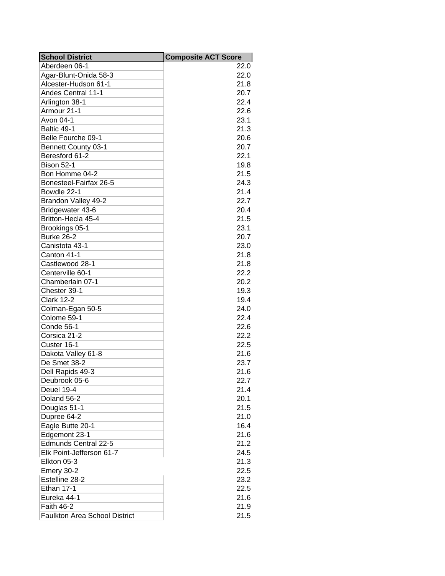| <b>School District</b>               | <b>Composite ACT Score</b> |
|--------------------------------------|----------------------------|
| Aberdeen 06-1                        | 22.0                       |
| Agar-Blunt-Onida 58-3                | 22.0                       |
| Alcester-Hudson 61-1                 | 21.8                       |
| <b>Andes Central 11-1</b>            | 20.7                       |
| Arlington 38-1                       | 22.4                       |
| Armour 21-1                          | 22.6                       |
| Avon 04-1                            | 23.1                       |
| Baltic 49-1                          | 21.3                       |
| Belle Fourche 09-1                   | 20.6                       |
| <b>Bennett County 03-1</b>           | 20.7                       |
| Beresford 61-2                       | 22.1                       |
| <b>Bison 52-1</b>                    | 19.8                       |
| Bon Homme 04-2                       | 21.5                       |
| Bonesteel-Fairfax 26-5               | 24.3                       |
| Bowdle 22-1                          | 21.4                       |
| Brandon Valley 49-2                  | 22.7                       |
| Bridgewater 43-6                     | 20.4                       |
| Britton-Hecla 45-4                   | 21.5                       |
| Brookings 05-1                       | 23.1                       |
| <b>Burke 26-2</b>                    | 20.7                       |
| Canistota 43-1                       | 23.0                       |
| Canton 41-1                          | 21.8                       |
| Castlewood 28-1                      | 21.8                       |
| Centerville 60-1                     | 22.2                       |
| Chamberlain 07-1                     | 20.2                       |
| Chester 39-1                         | 19.3                       |
| <b>Clark 12-2</b>                    | 19.4                       |
| Colman-Egan 50-5                     | 24.0                       |
| Colome 59-1                          | 22.4                       |
| Conde 56-1                           | 22.6                       |
| Corsica 21-2                         | 22.2                       |
| Custer 16-1                          | 22.5                       |
| Dakota Valley 61-8                   | 21.6                       |
| De Smet 38-2                         | 23.7                       |
| Dell Rapids 49-3                     | 21.6                       |
| Deubrook 05-6                        | 22.7                       |
| Deuel 19-4                           | 21.4                       |
| Doland 56-2                          | 20.1                       |
| Douglas 51-1                         | 21.5                       |
| Dupree 64-2                          | 21.0                       |
| Eagle Butte 20-1                     | 16.4                       |
| Edgemont 23-1                        | 21.6                       |
| <b>Edmunds Central 22-5</b>          | 21.2                       |
| Elk Point-Jefferson 61-7             | 24.5                       |
|                                      | 21.3                       |
| Elkton 05-3                          |                            |
| Emery 30-2                           | 22.5                       |
| Estelline 28-2                       | 23.2                       |
| <b>Ethan 17-1</b>                    | 22.5                       |
| Eureka 44-1                          | 21.6                       |
| <b>Faith 46-2</b>                    | 21.9                       |
| <b>Faulkton Area School District</b> | 21.5                       |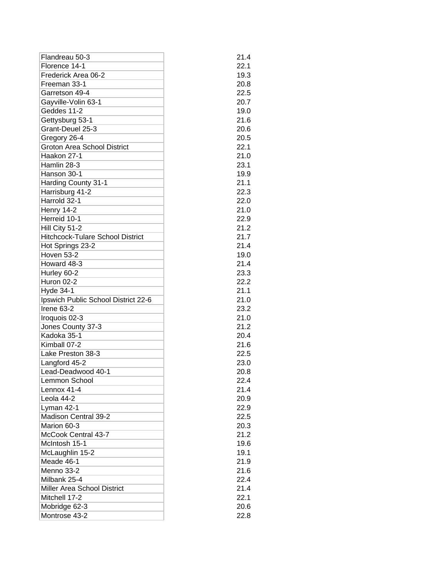| Flandreau 50-3                          | 21.4 |
|-----------------------------------------|------|
| Florence 14-1                           | 22.1 |
| Frederick Area 06-2                     | 19.3 |
| Freeman 33-1                            | 20.8 |
| Garretson 49-4                          | 22.5 |
| Gayville-Volin 63-1                     | 20.7 |
| Geddes 11-2                             | 19.0 |
| Gettysburg 53-1                         | 21.6 |
| Grant-Deuel 25-3                        | 20.6 |
| Gregory 26-4                            | 20.5 |
| <b>Groton Area School District</b>      | 22.1 |
| Haakon 27-1                             | 21.0 |
| Hamlin 28-3                             | 23.1 |
| Hanson 30-1                             | 19.9 |
| Harding County 31-1                     | 21.1 |
| Harrisburg 41-2                         | 22.3 |
| Harrold 32-1                            | 22.0 |
| Henry 14-2                              | 21.0 |
| Herreid 10-1                            | 22.9 |
| Hill City 51-2                          | 21.2 |
| <b>Hitchcock-Tulare School District</b> | 21.7 |
| Hot Springs 23-2                        | 21.4 |
| <b>Hoven 53-2</b>                       | 19.0 |
| Howard 48-3                             | 21.4 |
| Hurley 60-2                             | 23.3 |
| Huron 02-2                              | 22.2 |
| Hyde 34-1                               | 21.1 |
| Ipswich Public School District 22-6     | 21.0 |
| Irene 63-2                              | 23.2 |
| Iroquois 02-3                           | 21.0 |
| Jones County 37-3                       | 21.2 |
| Kadoka 35-1                             | 20.4 |
| Kimball 07-2                            | 21.6 |
| Lake Preston 38-3                       | 22.5 |
| Langford 45-2                           | 23.0 |
| Lead-Deadwood 40-1                      | 20.8 |
| Lemmon School                           | 22.4 |
| Lennox 41-4                             | 21.4 |
| Leola 44-2                              | 20.9 |
| Lyman 42-1                              | 22.9 |
| Madison Central 39-2                    | 22.5 |
| Marion 60-3                             | 20.3 |
| McCook Central 43-7                     | 21.2 |
| McIntosh 15-1                           | 19.6 |
| McLaughlin 15-2                         | 19.1 |
| Meade 46-1                              | 21.9 |
| Menno 33-2                              | 21.6 |
| Milbank 25-4                            | 22.4 |
| Miller Area School District             | 21.4 |
| Mitchell 17-2                           | 22.1 |
| Mobridge 62-3                           | 20.6 |
| Montrose 43-2                           | 22.8 |
|                                         |      |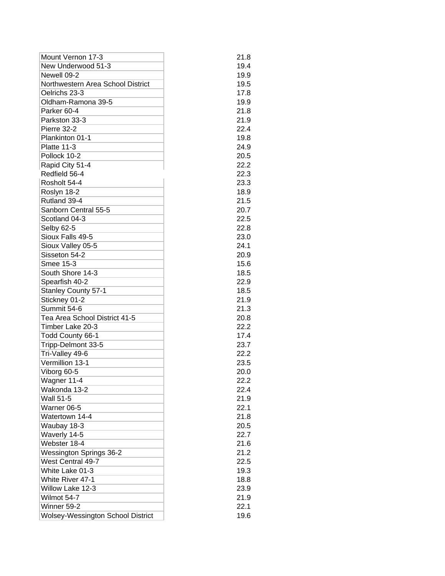| Mount Vernon 17-3                        | 21.8 |
|------------------------------------------|------|
| New Underwood 51-3                       | 19.4 |
| Newell 09-2                              | 19.9 |
| Northwestern Area School District        | 19.5 |
| Oelrichs 23-3                            | 17.8 |
| Oldham-Ramona 39-5                       | 19.9 |
| Parker 60-4                              | 21.8 |
| Parkston 33-3                            | 21.9 |
| Pierre 32-2                              | 22.4 |
| Plankinton 01-1                          | 19.8 |
| Platte 11-3                              | 24.9 |
| Pollock 10-2                             | 20.5 |
| Rapid City 51-4                          | 22.2 |
| Redfield 56-4                            | 22.3 |
| Rosholt 54-4                             | 23.3 |
| Roslyn 18-2                              | 18.9 |
| Rutland 39-4                             | 21.5 |
| Sanborn Central 55-5                     | 20.7 |
| Scotland 04-3                            | 22.5 |
|                                          | 22.8 |
| Selby 62-5                               |      |
| Sioux Falls 49-5                         | 23.0 |
| Sioux Valley 05-5                        | 24.1 |
| Sisseton 54-2                            | 20.9 |
| Smee 15-3                                | 15.6 |
| South Shore 14-3                         | 18.5 |
| Spearfish 40-2                           | 22.9 |
| <b>Stanley County 57-1</b>               | 18.5 |
| Stickney 01-2                            | 21.9 |
| Summit 54-6                              | 21.3 |
| Tea Area School District 41-5            | 20.8 |
| Timber Lake 20-3                         | 22.2 |
| Todd County 66-1                         | 17.4 |
| Tripp-Delmont 33-5                       | 23.7 |
| Tri-Valley 49-6                          | 22.2 |
| Vermillion 13-1                          | 23.5 |
| Viborg 60-5                              | 20.0 |
| Wagner 11-4                              | 22.2 |
| Wakonda 13-2                             | 22.4 |
| <b>Wall 51-5</b>                         | 21.9 |
| Warner 06-5                              | 22.1 |
| Watertown 14-4                           | 21.8 |
| Waubay 18-3                              | 20.5 |
| Waverly 14-5                             | 22.7 |
| Webster 18-4                             | 21.6 |
| <b>Wessington Springs 36-2</b>           | 21.2 |
| West Central 49-7                        | 22.5 |
| White Lake 01-3                          | 19.3 |
| White River 47-1                         | 18.8 |
| Willow Lake 12-3                         | 23.9 |
| Wilmot 54-7                              | 21.9 |
| Winner 59-2                              | 22.1 |
| <b>Wolsey-Wessington School District</b> | 19.6 |
|                                          |      |